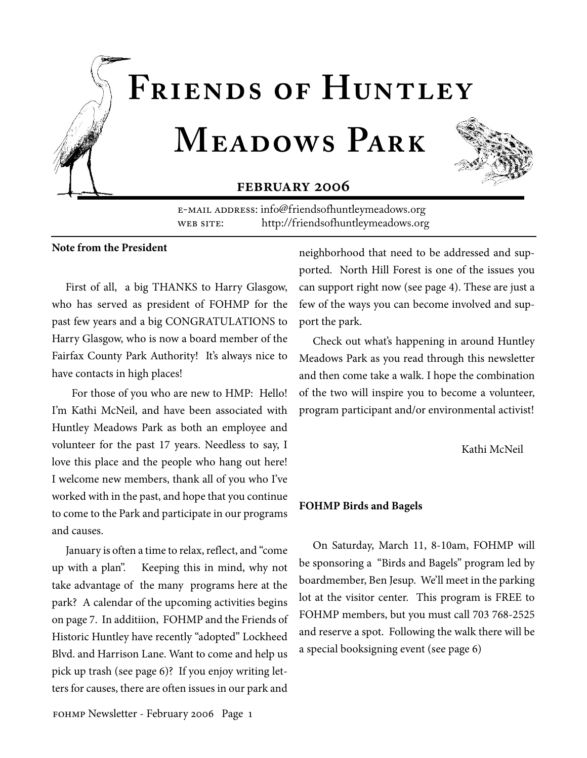

E-MAIL ADDRESS: info@friendsofhuntleymeadows.org WEB SITE: http://friendsofhuntleymeadows.org

#### **Note from the President**

First of all, a big THANKS to Harry Glasgow, who has served as president of FOHMP for the past few years and a big CONGRATULATIONS to Harry Glasgow, who is now a board member of the Fairfax County Park Authority! It's always nice to have contacts in high places!

 For those of you who are new to HMP: Hello! I'm Kathi McNeil, and have been associated with Huntley Meadows Park as both an employee and volunteer for the past 17 years. Needless to say, I love this place and the people who hang out here! I welcome new members, thank all of you who I've worked with in the past, and hope that you continue to come to the Park and participate in our programs and causes.

January is often a time to relax, reflect, and "come up with a plan". Keeping this in mind, why not take advantage of the many programs here at the park? A calendar of the upcoming activities begins on page 7. In additiion, FOHMP and the Friends of Historic Huntley have recently "adopted" Lockheed Blvd. and Harrison Lane. Want to come and help us pick up trash (see page 6)? If you enjoy writing letters for causes, there are often issues in our park and

neighborhood that need to be addressed and supported. North Hill Forest is one of the issues you can support right now (see page 4). These are just a few of the ways you can become involved and support the park.

Check out what's happening in around Huntley Meadows Park as you read through this newsletter and then come take a walk. I hope the combination of the two will inspire you to become a volunteer, program participant and/or environmental activist!

Kathi McNeil

#### **FOHMP Birds and Bagels**

On Saturday, March 11, 8-10am, FOHMP will be sponsoring a "Birds and Bagels" program led by boardmember, Ben Jesup. We'll meet in the parking lot at the visitor center. This program is FREE to FOHMP members, but you must call 703 768-2525 and reserve a spot. Following the walk there will be a special booksigning event (see page 6)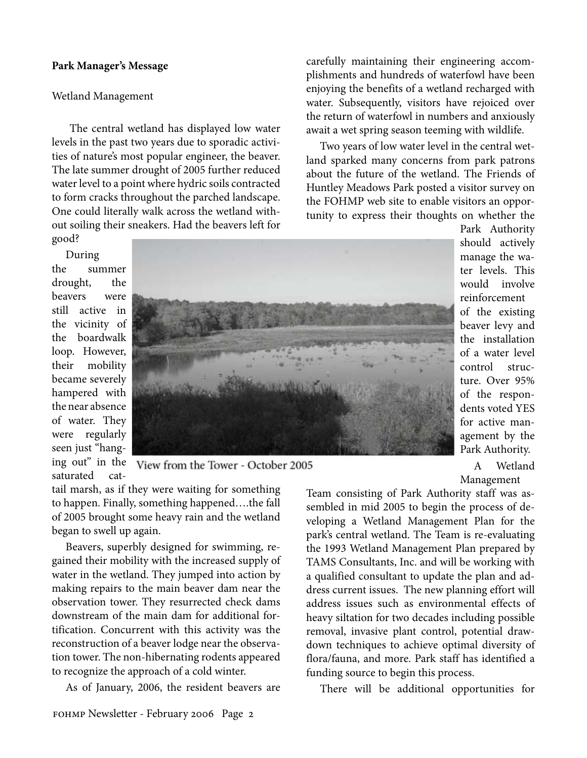#### **Park Manager's Message**

#### Wetland Management

 The central wetland has displayed low water levels in the past two years due to sporadic activities of nature's most popular engineer, the beaver. The late summer drought of 2005 further reduced water level to a point where hydric soils contracted to form cracks throughout the parched landscape. One could literally walk across the wetland without soiling their sneakers. Had the beavers left for good?

During the summer drought, the beavers were still active in the vicinity of the boardwalk loop. However, their mobility became severely hampered with the near absence of water. They were regularly seen just "hanging out" in the saturated cat-



View from the Tower - October 2005

tail marsh, as if they were waiting for something to happen. Finally, something happened….the fall of 2005 brought some heavy rain and the wetland began to swell up again.

Beavers, superbly designed for swimming, regained their mobility with the increased supply of water in the wetland. They jumped into action by making repairs to the main beaver dam near the observation tower. They resurrected check dams downstream of the main dam for additional fortification. Concurrent with this activity was the reconstruction of a beaver lodge near the observation tower. The non-hibernating rodents appeared to recognize the approach of a cold winter.

As of January, 2006, the resident beavers are

carefully maintaining their engineering accomplishments and hundreds of waterfowl have been enjoying the benefits of a wetland recharged with water. Subsequently, visitors have rejoiced over the return of waterfowl in numbers and anxiously await a wet spring season teeming with wildlife.

Two years of low water level in the central wetland sparked many concerns from park patrons about the future of the wetland. The Friends of Huntley Meadows Park posted a visitor survey on the FOHMP web site to enable visitors an opportunity to express their thoughts on whether the

> Park Authority should actively manage the water levels. This would involve reinforcement of the existing beaver levy and the installation of a water level control structure. Over 95% of the respondents voted YES for active management by the Park Authority.

A Wetland Management

Team consisting of Park Authority staff was assembled in mid 2005 to begin the process of developing a Wetland Management Plan for the park's central wetland. The Team is re-evaluating the 1993 Wetland Management Plan prepared by TAMS Consultants, Inc. and will be working with a qualified consultant to update the plan and address current issues. The new planning effort will address issues such as environmental effects of heavy siltation for two decades including possible removal, invasive plant control, potential drawdown techniques to achieve optimal diversity of flora/fauna, and more. Park staff has identified a funding source to begin this process.

There will be additional opportunities for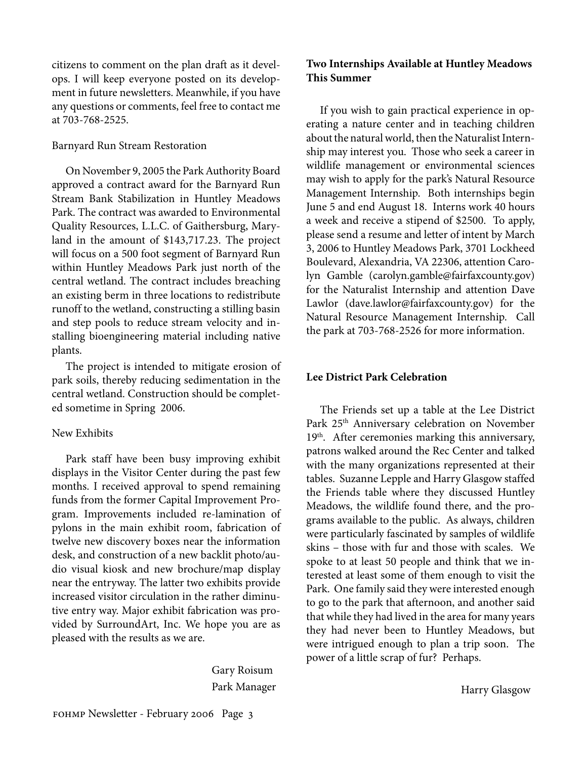citizens to comment on the plan draft as it develops. I will keep everyone posted on its development in future newsletters. Meanwhile, if you have any questions or comments, feel free to contact me at 703-768-2525.

#### Barnyard Run Stream Restoration

On November 9, 2005 the Park Authority Board approved a contract award for the Barnyard Run Stream Bank Stabilization in Huntley Meadows Park. The contract was awarded to Environmental Quality Resources, L.L.C. of Gaithersburg, Maryland in the amount of \$143,717.23. The project will focus on a 500 foot segment of Barnyard Run within Huntley Meadows Park just north of the central wetland. The contract includes breaching an existing berm in three locations to redistribute runoff to the wetland, constructing a stilling basin and step pools to reduce stream velocity and installing bioengineering material including native plants.

The project is intended to mitigate erosion of park soils, thereby reducing sedimentation in the central wetland. Construction should be completed sometime in Spring 2006.

#### New Exhibits

Park staff have been busy improving exhibit displays in the Visitor Center during the past few months. I received approval to spend remaining funds from the former Capital Improvement Program. Improvements included re-lamination of pylons in the main exhibit room, fabrication of twelve new discovery boxes near the information desk, and construction of a new backlit photo/audio visual kiosk and new brochure/map display near the entryway. The latter two exhibits provide increased visitor circulation in the rather diminutive entry way. Major exhibit fabrication was provided by SurroundArt, Inc. We hope you are as pleased with the results as we are.

> Gary Roisum Park Manager

#### **Two Internships Available at Huntley Meadows This Summer**

If you wish to gain practical experience in operating a nature center and in teaching children about the natural world, then the Naturalist Internship may interest you. Those who seek a career in wildlife management or environmental sciences may wish to apply for the park's Natural Resource Management Internship. Both internships begin June 5 and end August 18. Interns work 40 hours a week and receive a stipend of \$2500. To apply, please send a resume and letter of intent by March 3, 2006 to Huntley Meadows Park, 3701 Lockheed Boulevard, Alexandria, VA 22306, attention Carolyn Gamble (carolyn.gamble@fairfaxcounty.gov) for the Naturalist Internship and attention Dave Lawlor (dave.lawlor@fairfaxcounty.gov) for the Natural Resource Management Internship. Call the park at 703-768-2526 for more information.

#### **Lee District Park Celebration**

The Friends set up a table at the Lee District Park 25th Anniversary celebration on November 19<sup>th</sup>. After ceremonies marking this anniversary, patrons walked around the Rec Center and talked with the many organizations represented at their tables. Suzanne Lepple and Harry Glasgow staffed the Friends table where they discussed Huntley Meadows, the wildlife found there, and the programs available to the public. As always, children were particularly fascinated by samples of wildlife skins – those with fur and those with scales. We spoke to at least 50 people and think that we interested at least some of them enough to visit the Park. One family said they were interested enough to go to the park that afternoon, and another said that while they had lived in the area for many years they had never been to Huntley Meadows, but were intrigued enough to plan a trip soon. The power of a little scrap of fur? Perhaps.

Harry Glasgow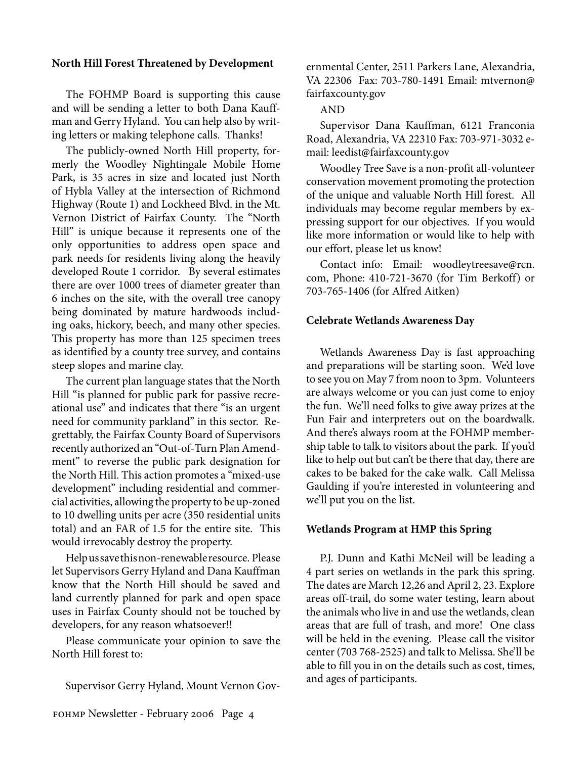#### **North Hill Forest Threatened by Development**

The FOHMP Board is supporting this cause and will be sending a letter to both Dana Kauffman and Gerry Hyland. You can help also by writing letters or making telephone calls. Thanks!

The publicly-owned North Hill property, formerly the Woodley Nightingale Mobile Home Park, is 35 acres in size and located just North of Hybla Valley at the intersection of Richmond Highway (Route 1) and Lockheed Blvd. in the Mt. Vernon District of Fairfax County. The "North Hill" is unique because it represents one of the only opportunities to address open space and park needs for residents living along the heavily developed Route 1 corridor. By several estimates there are over 1000 trees of diameter greater than 6 inches on the site, with the overall tree canopy being dominated by mature hardwoods including oaks, hickory, beech, and many other species. This property has more than 125 specimen trees as identified by a county tree survey, and contains steep slopes and marine clay.

The current plan language states that the North Hill "is planned for public park for passive recreational use" and indicates that there "is an urgent need for community parkland" in this sector. Regrettably, the Fairfax County Board of Supervisors recently authorized an "Out-of-Turn Plan Amendment" to reverse the public park designation for the North Hill. This action promotes a "mixed-use development" including residential and commercial activities, allowing the property to be up-zoned to 10 dwelling units per acre (350 residential units total) and an FAR of 1.5 for the entire site. This would irrevocably destroy the property.

Help us save this non-renewable resource. Please let Supervisors Gerry Hyland and Dana Kauffman know that the North Hill should be saved and land currently planned for park and open space uses in Fairfax County should not be touched by developers, for any reason whatsoever!!

Please communicate your opinion to save the North Hill forest to:

Supervisor Gerry Hyland, Mount Vernon Gov-

ernmental Center, 2511 Parkers Lane, Alexandria, VA 22306 Fax: 703-780-1491 Email: mtvernon@ fairfaxcounty.gov

#### AND

Supervisor Dana Kauffman, 6121 Franconia Road, Alexandria, VA 22310 Fax: 703-971-3032 email: leedist@fairfaxcounty.gov

Woodley Tree Save is a non-profit all-volunteer conservation movement promoting the protection of the unique and valuable North Hill forest. All individuals may become regular members by expressing support for our objectives. If you would like more information or would like to help with our effort, please let us know!

Contact info: Email: woodleytreesave@rcn. com, Phone: 410-721-3670 (for Tim Berkoff) or 703-765-1406 (for Alfred Aitken)

#### **Celebrate Wetlands Awareness Day**

Wetlands Awareness Day is fast approaching and preparations will be starting soon. We'd love to see you on May 7 from noon to 3pm. Volunteers are always welcome or you can just come to enjoy the fun. We'll need folks to give away prizes at the Fun Fair and interpreters out on the boardwalk. And there's always room at the FOHMP membership table to talk to visitors about the park. If you'd like to help out but can't be there that day, there are cakes to be baked for the cake walk. Call Melissa Gaulding if you're interested in volunteering and we'll put you on the list.

#### **Wetlands Program at HMP this Spring**

P.J. Dunn and Kathi McNeil will be leading a 4 part series on wetlands in the park this spring. The dates are March 12,26 and April 2, 23. Explore areas off-trail, do some water testing, learn about the animals who live in and use the wetlands, clean areas that are full of trash, and more! One class will be held in the evening. Please call the visitor center (703 768-2525) and talk to Melissa. She'll be able to fill you in on the details such as cost, times, and ages of participants.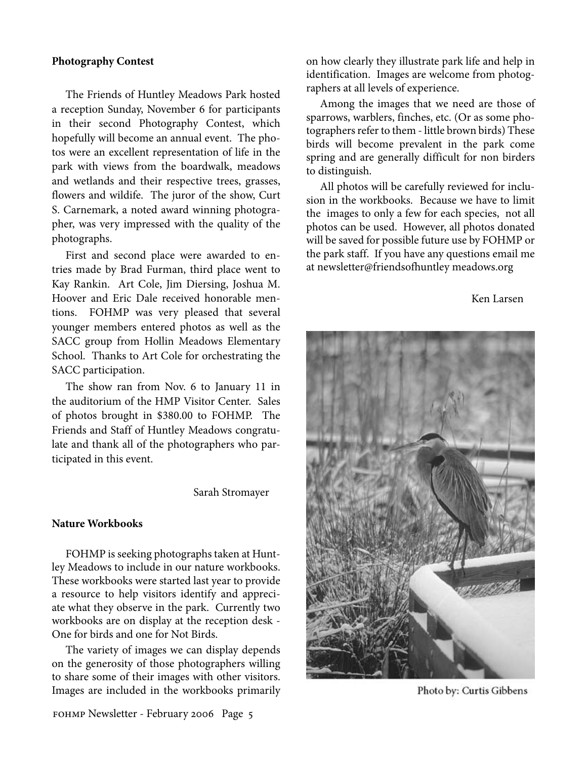#### **Photography Contest**

The Friends of Huntley Meadows Park hosted a reception Sunday, November 6 for participants in their second Photography Contest, which hopefully will become an annual event. The photos were an excellent representation of life in the park with views from the boardwalk, meadows and wetlands and their respective trees, grasses, flowers and wildife. The juror of the show, Curt S. Carnemark, a noted award winning photographer, was very impressed with the quality of the photographs.

First and second place were awarded to entries made by Brad Furman, third place went to Kay Rankin. Art Cole, Jim Diersing, Joshua M. Hoover and Eric Dale received honorable mentions. FOHMP was very pleased that several younger members entered photos as well as the SACC group from Hollin Meadows Elementary School. Thanks to Art Cole for orchestrating the SACC participation.

The show ran from Nov. 6 to January 11 in the auditorium of the HMP Visitor Center. Sales of photos brought in \$380.00 to FOHMP. The Friends and Staff of Huntley Meadows congratulate and thank all of the photographers who participated in this event.

Sarah Stromayer

#### **Nature Workbooks**

FOHMP is seeking photographs taken at Huntley Meadows to include in our nature workbooks. These workbooks were started last year to provide a resource to help visitors identify and appreciate what they observe in the park. Currently two workbooks are on display at the reception desk - One for birds and one for Not Birds.

The variety of images we can display depends on the generosity of those photographers willing to share some of their images with other visitors. Images are included in the workbooks primarily on how clearly they illustrate park life and help in identification. Images are welcome from photographers at all levels of experience.

Among the images that we need are those of sparrows, warblers, finches, etc. (Or as some photographers refer to them - little brown birds) These birds will become prevalent in the park come spring and are generally difficult for non birders to distinguish.

All photos will be carefully reviewed for inclusion in the workbooks. Because we have to limit the images to only a few for each species, not all photos can be used. However, all photos donated will be saved for possible future use by FOHMP or the park staff. If you have any questions email me at newsletter@friendsofhuntley meadows.org

Ken Larsen



Photo by: Curtis Gibbens

FOHMP Newsletter - February 2006 Page 5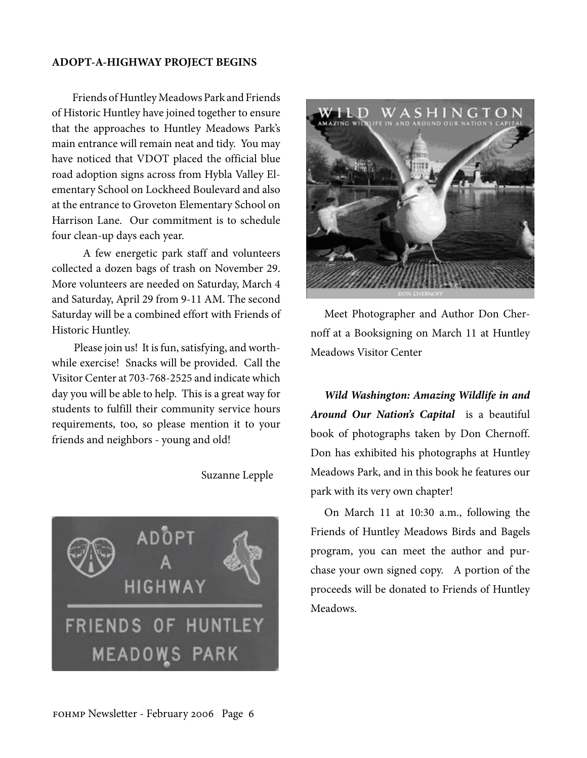#### **ADOPT-A-HIGHWAY PROJECT BEGINS**

 Friends of Huntley Meadows Park and Friends of Historic Huntley have joined together to ensure that the approaches to Huntley Meadows Park's main entrance will remain neat and tidy. You may have noticed that VDOT placed the official blue road adoption signs across from Hybla Valley Elementary School on Lockheed Boulevard and also at the entrance to Groveton Elementary School on Harrison Lane. Our commitment is to schedule four clean-up days each year.

 A few energetic park staff and volunteers collected a dozen bags of trash on November 29. More volunteers are needed on Saturday, March 4 and Saturday, April 29 from 9-11 AM. The second Saturday will be a combined effort with Friends of Historic Huntley.

 Please join us! It is fun, satisfying, and worthwhile exercise! Snacks will be provided. Call the Visitor Center at 703-768-2525 and indicate which day you will be able to help. This is a great way for students to fulfill their community service hours requirements, too, so please mention it to your friends and neighbors - young and old!

Suzanne Lepple





Meet Photographer and Author Don Chernoff at a Booksigning on March 11 at Huntley Meadows Visitor Center

*Wild Washington: Amazing Wildlife in and Around Our Nation's Capital* is a beautiful book of photographs taken by Don Chernoff. Don has exhibited his photographs at Huntley Meadows Park, and in this book he features our park with its very own chapter!

On March 11 at 10:30 a.m., following the Friends of Huntley Meadows Birds and Bagels program, you can meet the author and purchase your own signed copy. A portion of the proceeds will be donated to Friends of Huntley Meadows.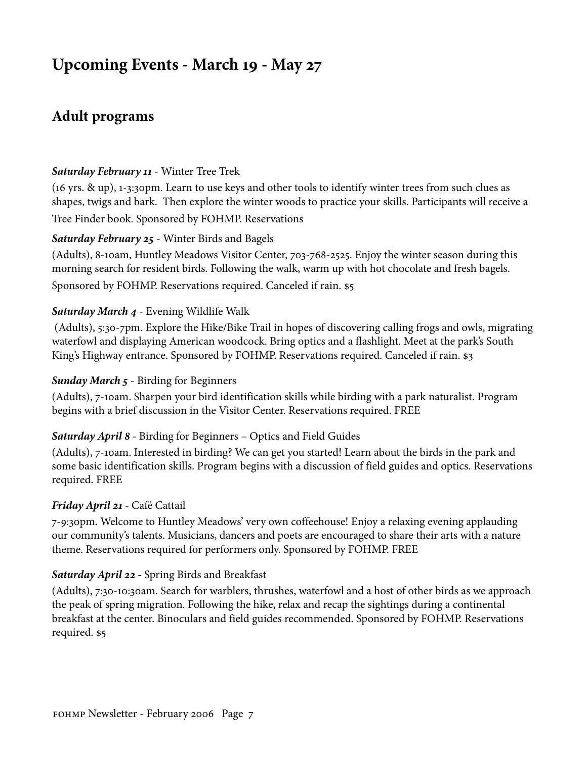# **Upcoming Events - March 19 - May 27**

# **Adult programs**

#### *Saturday February 11* - Winter Tree Trek

(16 yrs. & up), 1-3:30pm. Learn to use keys and other tools to identify winter trees from such clues as shapes, twigs and bark. Then explore the winter woods to practice your skills. Participants will receive a Tree Finder book. Sponsored by FOHMP. Reservations

#### *Saturday February 25* - Winter Birds and Bagels

(Adults), 8-10am, Huntley Meadows Visitor Center, 703-768-2525. Enjoy the winter season during this morning search for resident birds. Following the walk, warm up with hot chocolate and fresh bagels. Sponsored by FOHMP. Reservations required. Canceled if rain. \$5

## *Saturday March 4* - Evening Wildlife Walk

 (Adults), 5:30-7pm. Explore the Hike/Bike Trail in hopes of discovering calling frogs and owls, migrating waterfowl and displaying American woodcock. Bring optics and a flashlight. Meet at the park's South King's Highway entrance. Sponsored by FOHMP. Reservations required. Canceled if rain. \$3

#### *Sunday March 5* - Birding for Beginners

(Adults), 7-10am. Sharpen your bird identification skills while birding with a park naturalist. Program begins with a brief discussion in the Visitor Center. Reservations required. FREE

#### *Saturday April 8 -* Birding for Beginners – Optics and Field Guides

(Adults), 7-10am. Interested in birding? We can get you started! Learn about the birds in the park and some basic identification skills. Program begins with a discussion of field guides and optics. Reservations required. FREE

#### *Friday April 21 -* Café Cattail

7-9:30pm. Welcome to Huntley Meadows' very own coffeehouse! Enjoy a relaxing evening applauding our community's talents. Musicians, dancers and poets are encouraged to share their arts with a nature theme. Reservations required for performers only. Sponsored by FOHMP. FREE

# *Saturday April 22 -* Spring Birds and Breakfast

(Adults), 7:30-10:30am. Search for warblers, thrushes, waterfowl and a host of other birds as we approach the peak of spring migration. Following the hike, relax and recap the sightings during a continental breakfast at the center. Binoculars and field guides recommended. Sponsored by FOHMP. Reservations required. \$5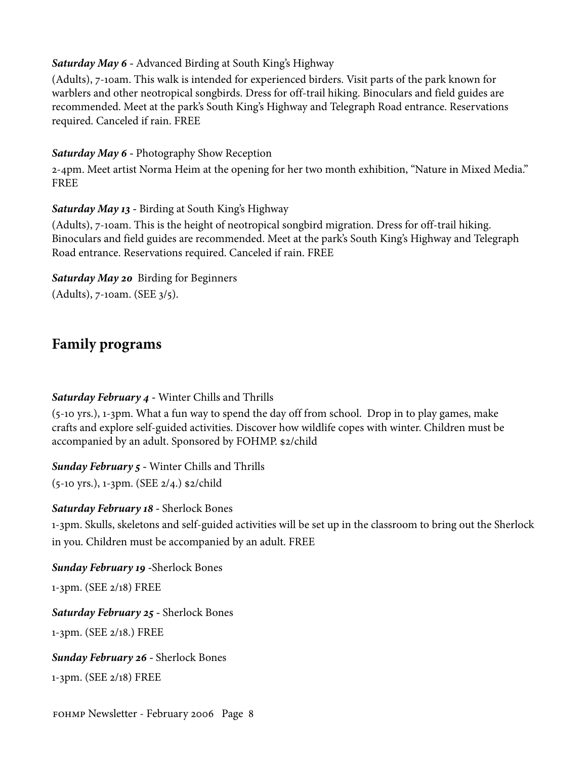#### *Saturday May 6 -* Advanced Birding at South King's Highway

(Adults), 7-10am. This walk is intended for experienced birders. Visit parts of the park known for warblers and other neotropical songbirds. Dress for off-trail hiking. Binoculars and field guides are recommended. Meet at the park's South King's Highway and Telegraph Road entrance. Reservations required. Canceled if rain. FREE

## *Saturday May 6 -* Photography Show Reception

2-4pm. Meet artist Norma Heim at the opening for her two month exhibition, "Nature in Mixed Media." FREE

# *Saturday May 13 -* Birding at South King's Highway

(Adults), 7-10am. This is the height of neotropical songbird migration. Dress for off-trail hiking. Binoculars and field guides are recommended. Meet at the park's South King's Highway and Telegraph Road entrance. Reservations required. Canceled if rain. FREE

# *Saturday May 20* Birding for Beginners

(Adults), 7-10am. (SEE 3/5).

# **Family programs**

# *Saturday February 4 -* Winter Chills and Thrills

(5-10 yrs.), 1-3pm. What a fun way to spend the day off from school. Drop in to play games, make crafts and explore self-guided activities. Discover how wildlife copes with winter. Children must be accompanied by an adult. Sponsored by FOHMP. \$2/child

*Sunday February 5 -* Winter Chills and Thrills

(5-10 yrs.), 1-3pm. (SEE 2/4.) \$2/child

# *Saturday February 18 -* Sherlock Bones

1-3pm. Skulls, skeletons and self-guided activities will be set up in the classroom to bring out the Sherlock in you. Children must be accompanied by an adult. FREE

*Sunday February 19 -*Sherlock Bones 1-3pm. (SEE 2/18) FREE *Saturday February 25 -* Sherlock Bones

1-3pm. (SEE 2/18.) FREE

*Sunday February 26 -* Sherlock Bones 1-3pm. (SEE 2/18) FREE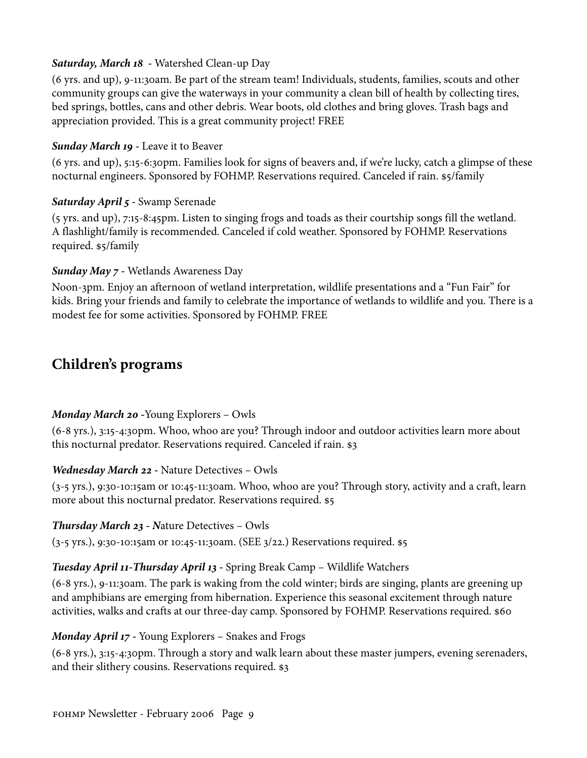## *Saturday, March 18 -* Watershed Clean-up Day

(6 yrs. and up), 9-11:30am. Be part of the stream team! Individuals, students, families, scouts and other community groups can give the waterways in your community a clean bill of health by collecting tires, bed springs, bottles, cans and other debris. Wear boots, old clothes and bring gloves. Trash bags and appreciation provided. This is a great community project! FREE

#### *Sunday March 19 -* Leave it to Beaver

(6 yrs. and up), 5:15-6:30pm. Families look for signs of beavers and, if we're lucky, catch a glimpse of these nocturnal engineers. Sponsored by FOHMP. Reservations required. Canceled if rain. \$5/family

## *Saturday April 5 -* Swamp Serenade

(5 yrs. and up), 7:15-8:45pm. Listen to singing frogs and toads as their courtship songs fill the wetland. A flashlight/family is recommended. Canceled if cold weather. Sponsored by FOHMP. Reservations required. \$5/family

## *Sunday May 7 -* Wetlands Awareness Day

Noon-3pm. Enjoy an afternoon of wetland interpretation, wildlife presentations and a "Fun Fair" for kids. Bring your friends and family to celebrate the importance of wetlands to wildlife and you. There is a modest fee for some activities. Sponsored by FOHMP. FREE

# **Children's programs**

# *Monday March 20 -*Young Explorers – Owls

(6-8 yrs.), 3:15-4:30pm. Whoo, whoo are you? Through indoor and outdoor activities learn more about this nocturnal predator. Reservations required. Canceled if rain. \$3

# *Wednesday March 22 -* Nature Detectives – Owls

(3-5 yrs.), 9:30-10:15am or 10:45-11:30am. Whoo, whoo are you? Through story, activity and a craft, learn more about this nocturnal predator. Reservations required. \$5

#### *Thursday March 23 - N*ature Detectives – Owls

(3-5 yrs.), 9:30-10:15am or 10:45-11:30am. (SEE 3/22.) Reservations required. \$5

# *Tuesday April 11-Thursday April 13 -* Spring Break Camp – Wildlife Watchers

(6-8 yrs.), 9-11:30am. The park is waking from the cold winter; birds are singing, plants are greening up and amphibians are emerging from hibernation. Experience this seasonal excitement through nature activities, walks and crafts at our three-day camp. Sponsored by FOHMP. Reservations required. \$60

# *Monday April 17 -* Young Explorers – Snakes and Frogs

(6-8 yrs.), 3:15-4:30pm. Through a story and walk learn about these master jumpers, evening serenaders, and their slithery cousins. Reservations required. \$3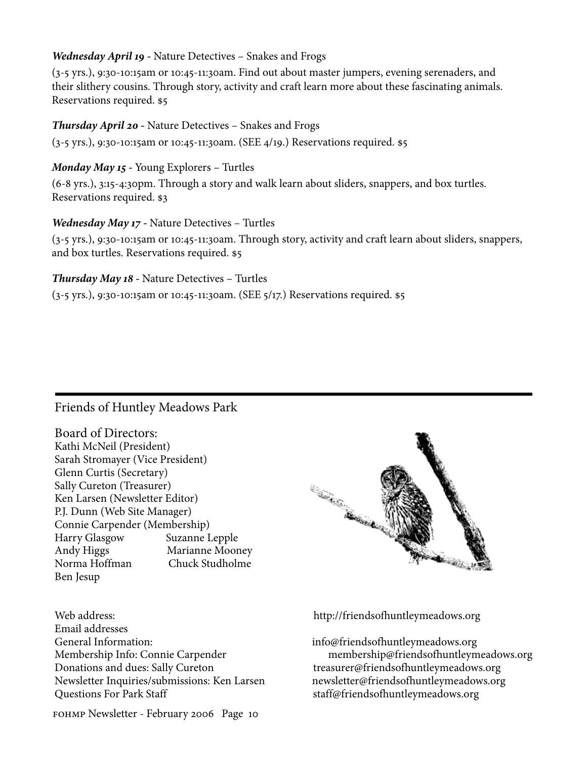#### *Wednesday April 19 -* Nature Detectives – Snakes and Frogs

(3-5 yrs.), 9:30-10:15am or 10:45-11:30am. Find out about master jumpers, evening serenaders, and their slithery cousins. Through story, activity and craft learn more about these fascinating animals. Reservations required. \$5

#### *Thursday April 20 -* Nature Detectives – Snakes and Frogs

(3-5 yrs.), 9:30-10:15am or 10:45-11:30am. (SEE 4/19.) Reservations required. \$5

## *Monday May 15 -* Young Explorers – Turtles

(6-8 yrs.), 3:15-4:30pm. Through a story and walk learn about sliders, snappers, and box turtles. Reservations required. \$3

## *Wednesday May 17 -* Nature Detectives – Turtles

(3-5 yrs.), 9:30-10:15am or 10:45-11:30am. Through story, activity and craft learn about sliders, snappers, and box turtles. Reservations required. \$5

#### *Thursday May 18 -* Nature Detectives – Turtles

(3-5 yrs.), 9:30-10:15am or 10:45-11:30am. (SEE 5/17.) Reservations required. \$5

# Friends of Huntley Meadows Park

Board of Directors: Kathi McNeil (President) Sarah Stromayer (Vice President) Glenn Curtis (Secretary) Sally Cureton (Treasurer) Ken Larsen (Newsletter Editor) P.J. Dunn (Web Site Manager) Connie Carpender (Membership) Harry Glasgow Suzanne Lepple Andy Higgs Marianne Mooney Norma Hoffman Chuck Studholme Ben Jesup

Web address: http://friendsofhuntleymeadows.org

Email addresses General Information: info@friendsofhuntleymeadows.org Donations and dues: Sally Cureton treasurer@friendsofhuntleymeadows.org Newsletter Inquiries/submissions: Ken Larsen newsletter@friendsofhuntleymeadows.org Questions For Park Staff states and staff@friendsofhuntleymeadows.org

fohmp Newsletter - February 2006 Page 10



Membership Info: Connie Carpender membership@friendsofhuntleymeadows.org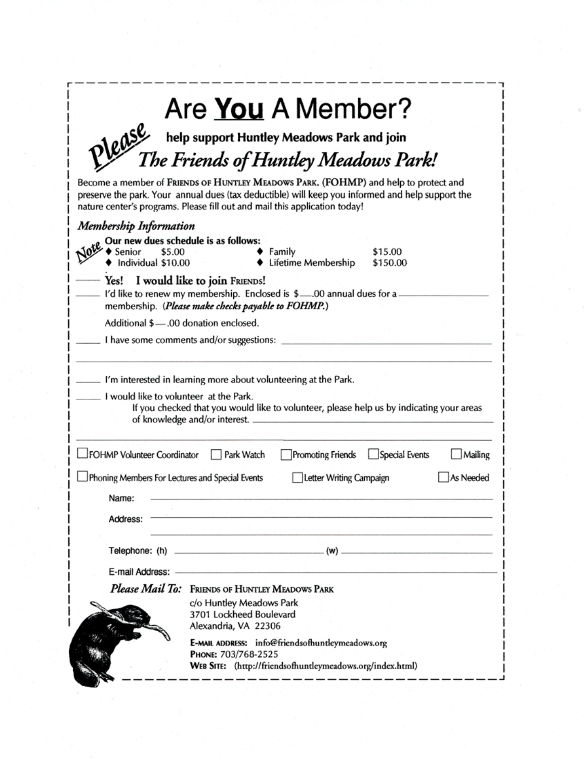| Are You A Member?<br>Please                                                                                                                                                                                                                                           |
|-----------------------------------------------------------------------------------------------------------------------------------------------------------------------------------------------------------------------------------------------------------------------|
| help support Huntley Meadows Park and join<br>T <i>he Friends of Huntley Meadows Park!</i>                                                                                                                                                                            |
| Become a member of FRIENDS OF HUNTLEY MEADOWS PARK. (FOHMP) and help to protect and<br>preserve the park. Your annual dues (tax deductible) will keep you informed and help support the<br>nature center's programs. Please fill out and mail this application today! |
| <b>Membership Information</b>                                                                                                                                                                                                                                         |
| Our new dues schedule is as follows:<br>\$5.00<br>Senior<br>Family<br>\$15.00<br>Individual \$10.00<br>Lifetime Membership<br>\$150.00                                                                                                                                |
| Yes! I would like to join FRIENDS!<br>I'd like to renew my membership. Enclosed is \$00 annual dues for a.<br>membership. (Please make checks payable to FOHMP.)                                                                                                      |
| Additional \$-00 donation enclosed.                                                                                                                                                                                                                                   |
| I have some comments and/or suggestions:                                                                                                                                                                                                                              |
| I would like to volunteer at the Park.<br>If you checked that you would like to volunteer, please help us by indicating your areas<br>of knowledge and/or interest.                                                                                                   |
| FOHMP Volunteer Coordinator<br>Special Events<br>Park Watch<br>Promoting Friends<br>Mailing                                                                                                                                                                           |
| Phoning Members For Lectures and Special Events<br>Letter Writing Campaign<br>As Needed<br>Name:                                                                                                                                                                      |
| Address:                                                                                                                                                                                                                                                              |
| $_{-}$ (w) $_{-}$                                                                                                                                                                                                                                                     |
| E-mail Address:                                                                                                                                                                                                                                                       |
| Please Mail To: FRIENDS OF HUNTLEY MEADOWS PARK                                                                                                                                                                                                                       |
| c/o Huntley Meadows Park<br>3701 Lockheed Boulevard<br>Alexandria, VA 22306                                                                                                                                                                                           |
| E-MAIL ADDRESS: info@friendsofhuntleymeadows.org<br>PHONE: 703/768-2525<br>WEB SITE: (http://friendsofhuntleymeadows.org/index.html)                                                                                                                                  |